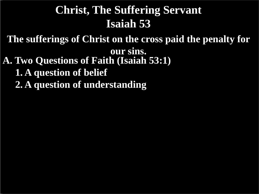**The sufferings of Christ on the cross paid the penalty for** 

**our sins.**

- **A. Two Questions of Faith (Isaiah 53:1)**
	- **1. A question of belief**
	- **2. A question of understanding**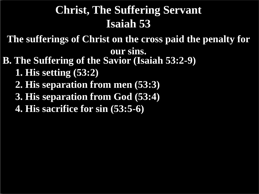**The sufferings of Christ on the cross paid the penalty for** 

**our sins.**

- **B. The Suffering of the Savior (Isaiah 53:2-9)**
	- **1. His setting (53:2)**
	- **2. His separation from men (53:3)**
	- **3. His separation from God (53:4)**
	- **4. His sacrifice for sin (53:5-6)**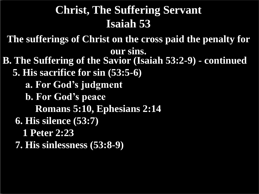**The sufferings of Christ on the cross paid the penalty for our sins.**

**B. The Suffering of the Savior (Isaiah 53:2-9) - continued 5. His sacrifice for sin (53:5-6) a. For God's judgment b. For God's peace Romans 5:10, Ephesians 2:14 6. His silence (53:7) 1 Peter 2:23 7. His sinlessness (53:8-9)**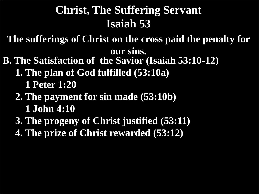**The sufferings of Christ on the cross paid the penalty for our sins.**

- **B. The Satisfaction of the Savior (Isaiah 53:10-12)**
	- **1. The plan of God fulfilled (53:10a)**
		- **1 Peter 1:20**

#### **2. The payment for sin made (53:10b) 1 John 4:10**

- **3. The progeny of Christ justified (53:11)**
- **4. The prize of Christ rewarded (53:12)**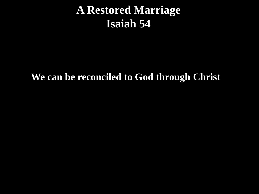#### **A Restored Marriage Isaiah 54**

#### **We can be reconciled to God through Christ**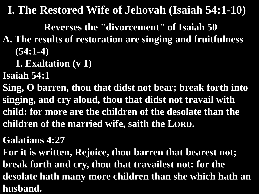**Reverses the "divorcement" of Isaiah 50**

- **A. The results of restoration are singing and fruitfulness (54:1-4)**
	- **1. Exaltation (v 1)**

**Isaiah 54:1**

**Sing, O barren, thou that didst not bear; break forth into singing, and cry aloud, thou that didst not travail with child: for more are the children of the desolate than the children of the married wife, saith the LORD.**

**Galatians 4:27**

**For it is written, Rejoice, thou barren that bearest not; break forth and cry, thou that travailest not: for the desolate hath many more children than she which hath an husband.**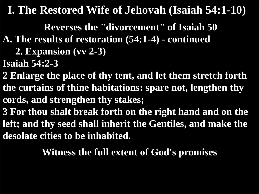**Reverses the "divorcement" of Isaiah 50**

- **A. The results of restoration (54:1-4) - continued**
	- **2. Expansion (vv 2-3)**
- **Isaiah 54:2-3**
- **2 Enlarge the place of thy tent, and let them stretch forth the curtains of thine habitations: spare not, lengthen thy cords, and strengthen thy stakes;**
- **3 For thou shalt break forth on the right hand and on the left; and thy seed shall inherit the Gentiles, and make the desolate cities to be inhabited.**

**Witness the full extent of God's promises**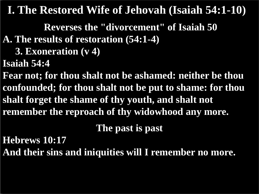**Reverses the "divorcement" of Isaiah 50**

- **A. The results of restoration (54:1-4)**
	- **3. Exoneration (v 4)**
- **Isaiah 54:4**

**Fear not; for thou shalt not be ashamed: neither be thou confounded; for thou shalt not be put to shame: for thou shalt forget the shame of thy youth, and shalt not remember the reproach of thy widowhood any more.**

**The past is past**

**Hebrews 10:17**

**And their sins and iniquities will I remember no more.**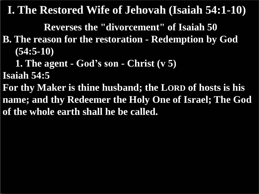**Reverses the "divorcement" of Isaiah 50**

- **B. The reason for the restoration - Redemption by God (54:5-10)**
	- **1. The agent - God's son - Christ (v 5)**
- **Isaiah 54:5**
- **For thy Maker is thine husband; the LORD of hosts is his name; and thy Redeemer the Holy One of Israel; The God of the whole earth shall he be called.**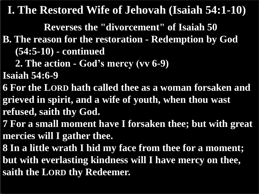**Reverses the "divorcement" of Isaiah 50**

- **B. The reason for the restoration - Redemption by God (54:5-10) - continued**
	- **2. The action - God's mercy (vv 6-9)**

**Isaiah 54:6-9**

- **6 For the LORD hath called thee as a woman forsaken and grieved in spirit, and a wife of youth, when thou wast refused, saith thy God.**
- **7 For a small moment have I forsaken thee; but with great mercies will I gather thee.**
- **8 In a little wrath I hid my face from thee for a moment;**
- **but with everlasting kindness will I have mercy on thee, saith the LORD thy Redeemer.**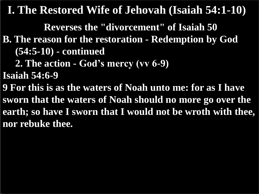**Reverses the "divorcement" of Isaiah 50**

- **B. The reason for the restoration - Redemption by God (54:5-10) - continued**
	- **2. The action - God's mercy (vv 6-9)**

**Isaiah 54:6-9**

**9 For this is as the waters of Noah unto me: for as I have sworn that the waters of Noah should no more go over the earth; so have I sworn that I would not be wroth with thee, nor rebuke thee.**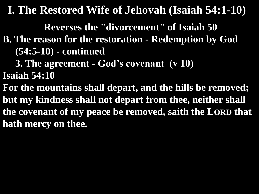**Reverses the "divorcement" of Isaiah 50**

- **B. The reason for the restoration - Redemption by God (54:5-10) - continued**
	- **3. The agreement - God's covenant (v 10)**

**Isaiah 54:10**

**For the mountains shall depart, and the hills be removed; but my kindness shall not depart from thee, neither shall the covenant of my peace be removed, saith the LORD that hath mercy on thee.**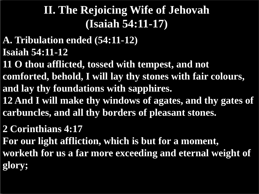- **A. Tribulation ended (54:11-12) Isaiah 54:11-12**
- **11 O thou afflicted, tossed with tempest, and not comforted, behold, I will lay thy stones with fair colours, and lay thy foundations with sapphires.**
- **12 And I will make thy windows of agates, and thy gates of carbuncles, and all thy borders of pleasant stones.**
- **2 Corinthians 4:17**

**For our light affliction, which is but for a moment, worketh for us a far more exceeding and eternal weight of glory;**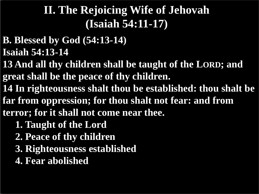- **B. Blessed by God (54:13-14) Isaiah 54:13-14**
- **13 And all thy children shall be taught of the LORD; and great shall be the peace of thy children.**
- **14 In righteousness shalt thou be established: thou shalt be far from oppression; for thou shalt not fear: and from terror; for it shall not come near thee.**
	- **1. Taught of the Lord**
	- **2. Peace of thy children**
	- **3. Righteousness established**
	- **4. Fear abolished**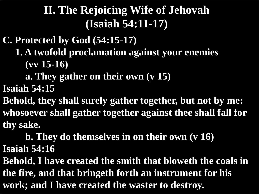**C. Protected by God (54:15-17) 1. A twofold proclamation against your enemies (vv 15-16)**

 **a. They gather on their own (v 15) Isaiah 54:15**

**Behold, they shall surely gather together, but not by me: whosoever shall gather together against thee shall fall for thy sake.**

 **b. They do themselves in on their own (v 16) Isaiah 54:16**

**Behold, I have created the smith that bloweth the coals in the fire, and that bringeth forth an instrument for his work; and I have created the waster to destroy.**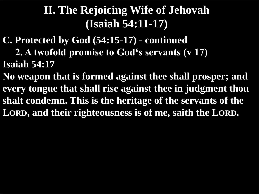**C. Protected by God (54:15-17) - continued 2. A twofold promise to God's servants (v 17) Isaiah 54:17**

**No weapon that is formed against thee shall prosper; and every tongue that shall rise against thee in judgment thou shalt condemn. This is the heritage of the servants of the LORD, and their righteousness is of me, saith the LORD.**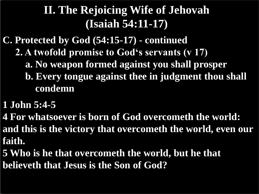- **C. Protected by God (54:15-17) - continued 2. A twofold promise to God's servants (v 17) a. No weapon formed against you shall prosper b. Every tongue against thee in judgment thou shall condemn**
- **1 John 5:4-5**
- **4 For whatsoever is born of God overcometh the world: and this is the victory that overcometh the world, even our faith.**
- **5 Who is he that overcometh the world, but he that believeth that Jesus is the Son of God?**